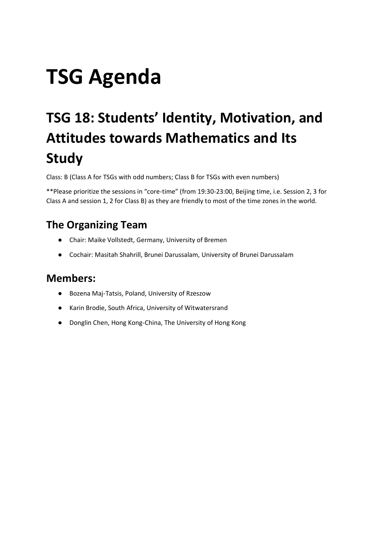# **TSG Agenda**

# <span id="page-0-0"></span>**TSG 18: Students' Identity, Motivation, and Attitudes towards Mathematics and Its Study**

Class: B (Class A for TSGs with odd numbers; Class B for TSGs with even numbers)

\*\*Please prioritize the sessions in "core-time" (from 19:30-23:00, Beijing time, i.e. Session 2, 3 for Class A and session 1, 2 for Class B) as they are friendly to most of the time zones in the world.

## <span id="page-0-1"></span>**The Organizing Team**

- Chair: Maike Vollstedt, Germany, University of Bremen
- Cochair: Masitah Shahrill, Brunei Darussalam, University of Brunei Darussalam

#### <span id="page-0-2"></span>**Members:**

- Bozena Maj-Tatsis, Poland, University of Rzeszow
- Karin Brodie, South Africa, University of Witwatersrand
- Donglin Chen, Hong Kong-China, The University of Hong Kong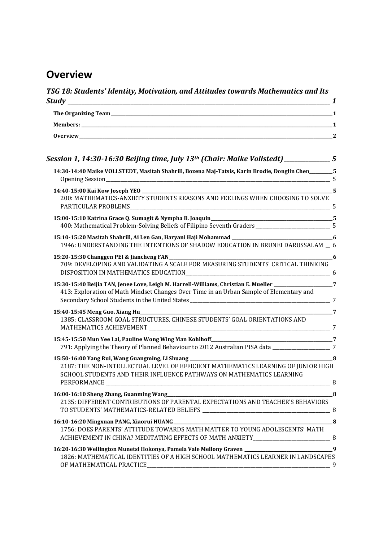# <span id="page-1-0"></span>**Overview**

| Session 1, 14:30-16:30 Beijing time, July 13th (Chair: Maike Vollstedt) _____________5                                                                                                                                                                                                                     |
|------------------------------------------------------------------------------------------------------------------------------------------------------------------------------------------------------------------------------------------------------------------------------------------------------------|
| 14:30-14:40 Maike VOLLSTEDT, Masitah Shahrill, Bozena Maj-Tatsis, Karin Brodie, Donglin Chen_______5                                                                                                                                                                                                       |
| 200: MATHEMATICS-ANXIETY STUDENTS REASONS AND FEELINGS WHEN CHOOSING TO SOLVE                                                                                                                                                                                                                              |
| 400: Mathematical Problem-Solving Beliefs of Filipino Seventh Graders _________________________5                                                                                                                                                                                                           |
| 1946: UNDERSTANDING THE INTENTIONS OF SHADOW EDUCATION IN BRUNEI DARUSSALAM _ 6                                                                                                                                                                                                                            |
| 709: DEVELOPING AND VALIDATING A SCALE FOR MEASURING STUDENTS' CRITICAL THINKING                                                                                                                                                                                                                           |
| 15:30-15:40 Beijia TAN, Jenee Love, Leigh M. Harrell-Williams, Christian E. Mueller _________________7<br>413: Exploration of Math Mindset Changes Over Time in an Urban Sample of Elementary and                                                                                                          |
| 15:40-15:45 Meng Guo, Xiang Hu 2011-15:40 Meng Guo, Xiang Hu 2011-2022 Manual Mullet Communication of the Mullet Communication of the Mullet Communication of the Mullet Communication of the Mullet Communication of the Mull<br>1385: CLASSROOM GOAL STRUCTURES, CHINESE STUDENTS' GOAL ORIENTATIONS AND |
|                                                                                                                                                                                                                                                                                                            |
| 791: Applying the Theory of Planned Behaviour to 2012 Australian PISA data ______________________7                                                                                                                                                                                                         |
| 2187: THE NON-INTELLECTUAL LEVEL OF EFFICIENT MATHEMATICS LEARNING OF JUNIOR HIGH<br>SCHOOL STUDENTS AND THEIR INFLUENCE PATHWAYS ON MATHEMATICS LEARNING                                                                                                                                                  |
| 16:00-16:10 Sheng Zhang, Guanming Wang<br>2135: DIFFERENT CONTRIBUTIONS OF PARENTAL EXPECTATIONS AND TEACHER'S BEHAVIORS                                                                                                                                                                                   |
| 1756: DOES PARENTS' ATTITUDE TOWARDS MATH MATTER TO YOUNG ADOLESCENTS' MATH                                                                                                                                                                                                                                |
| 1826: MATHEMATICAL IDENTITIES OF A HIGH SCHOOL MATHEMATICS LEARNER IN LANDSCAPES                                                                                                                                                                                                                           |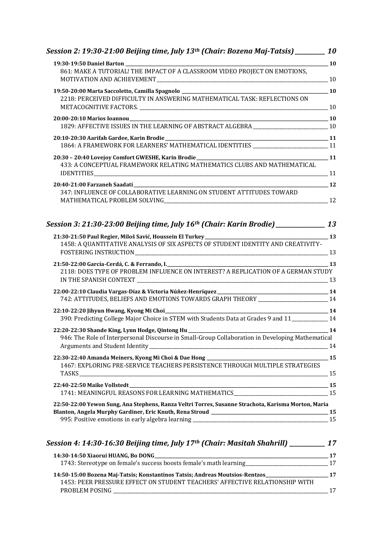| Session 2: 19:30-21:00 Beijing time, July 13 <sup>th</sup> (Chair: Bozena Maj-Tatsis) <sub>________</sub> ____ 10 |       |
|-------------------------------------------------------------------------------------------------------------------|-------|
| $\sim$ 10                                                                                                         |       |
| 861: MAKE A TUTORIAL! THE IMPACT OF A CLASSROOM VIDEO PROJECT ON EMOTIONS,                                        |       |
|                                                                                                                   |       |
| 2218: PERCEIVED DIFFICULTY IN ANSWERING MATHEMATICAL TASK: REFLECTIONS ON                                         |       |
| 20:00-20:10 Marios Ioannou                                                                                        |       |
| 1829: AFFECTIVE ISSUES IN THE LEARNING OF ABSTRACT ALGEBRA _________________________________ 10                   |       |
| 20:10-20:30 Aarifah Gardee, Karin Brodie<br>11 1864: A FRAMEWORK FOR LEARNERS' MATHEMATICAL IDENTITIES            |       |
|                                                                                                                   |       |
| 433: A CONCEPTUAL FRAMEWORK RELATING MATHEMATICS CLUBS AND MATHEMATICAL                                           |       |
|                                                                                                                   |       |
| 347: INFLUENCE OF COLLABORATIVE LEARNING ON STUDENT ATTITUDES TOWARD                                              |       |
| Session 3: 21:30-23:00 Beijing time, July 16 <sup>th</sup> (Chair: Karin Brodie) <sub>__________</sub> ______ 13  |       |
|                                                                                                                   |       |
| 1458: A QUANTITATIVE ANALYSIS OF SIX ASPECTS OF STUDENT IDENTITY AND CREATIVITY-                                  |       |
| 21:50-22:00 García-Cerdá, C. & Ferrando, I. 2006) (2006) (2006) (2006) (2006) (2006) (2006) (2006) (2006) (200    |       |
| 2118: DOES TYPE OF PROBLEM INFLUENCE ON INTEREST? A REPLICATION OF A GERMAN STUDY                                 |       |
| 742: ATTITUDES, BELIEFS AND EMOTIONS TOWARDS GRAPH THEORY _______________________ 14                              |       |
| 390: Predicting College Major Choice in STEM with Students Data at Grades 9 and 11___________ 14                  |       |
|                                                                                                                   |       |
| 946: The Role of Interpersonal Discourse in Small-Group Collaboration in Developing Mathematical                  |       |
|                                                                                                                   |       |
| 1467: EXPLORING PRE-SERVICE TEACHERS PERSISTENCE THROUGH MULTIPLE STRATEGIES                                      |       |
| 1741: MEANINGFUL REASONS FOR LEARNING MATHEMATICS________________________________ 15                              |       |
|                                                                                                                   |       |
| 22:50-22:00 Yewon Sung, Ana Stephens, Ranza Veltri Torres, Susanne Strachota, Karisma Morton, Maria               |       |
|                                                                                                                   |       |
| Session 4: 14:30-16:30 Beijing time, July 17th (Chair: Masitah Shahrill) __________ 17                            |       |
| 1743: Stereotype on female's success boosts female's math learning_____________________________17                 | $-17$ |
| 14:50-15:00 Bozena Maj-Tatsis; Konstantinos Tatsis; Andreas Moutsios-Rentzos_______________________               | $-17$ |
| 1453: PEER PRESSURE EFFECT ON STUDENT TEACHERS' AFFECTIVE RELATIONSHIP WITH                                       | 17    |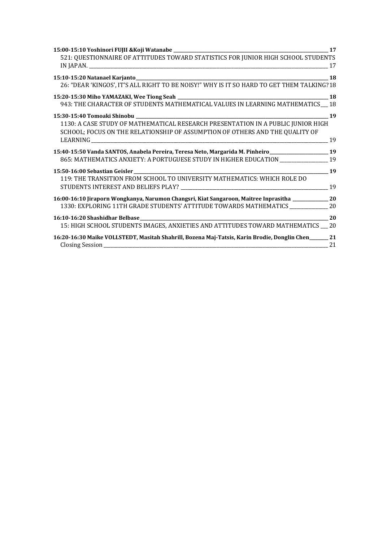|                                                                                                                                                                  | 17 |
|------------------------------------------------------------------------------------------------------------------------------------------------------------------|----|
| 521: QUESTIONNAIRE OF ATTITUDES TOWARD STATISTICS FOR JUNIOR HIGH SCHOOL STUDENTS                                                                                |    |
|                                                                                                                                                                  |    |
| 26: "DEAR 'KINGOS', IT'S ALL RIGHT TO BE NOISY!" WHY IS IT SO HARD TO GET THEM TALKING?18                                                                        |    |
|                                                                                                                                                                  |    |
| 943: THE CHARACTER OF STUDENTS MATHEMATICAL VALUES IN LEARNING MATHEMATICS 18                                                                                    |    |
|                                                                                                                                                                  | 19 |
| 1130: A CASE STUDY OF MATHEMATICAL RESEARCH PRESENTATION IN A PUBLIC JUNIOR HIGH<br>SCHOOL; FOCUS ON THE RELATIONSHIP OF ASSUMPTION OF OTHERS AND THE QUALITY OF |    |
|                                                                                                                                                                  | 19 |
| 15:40-15:50 Vanda SANTOS, Anabela Pereira, Teresa Neto, Margarida M. Pinheiro ______________________ 19                                                          |    |
| 865: MATHEMATICS ANXIETY: A PORTUGUESE STUDY IN HIGHER EDUCATION ________________ 19                                                                             |    |
|                                                                                                                                                                  |    |
| 119: THE TRANSITION FROM SCHOOL TO UNIVERSITY MATHEMATICS: WHICH ROLE DO                                                                                         |    |
|                                                                                                                                                                  |    |
| 16:00-16:10 Jiraporn Wongkanya, Narumon Changsri, Kiat Sangaroon, Maitree Inprasitha ______________ 20                                                           |    |
| 1330: EXPLORING 11TH GRADE STUDENTS' ATTITUDE TOWARDS MATHEMATICS _____________ 20                                                                               |    |
|                                                                                                                                                                  | 20 |
| 15: HIGH SCHOOL STUDENTS IMAGES, ANXIETIES AND ATTITUDES TOWARD MATHEMATICS __ 20                                                                                |    |
| 16:20-16:30 Maike VOLLSTEDT, Masitah Shahrill, Bozena Maj-Tatsis, Karin Brodie, Donglin Chen______ 21                                                            |    |
|                                                                                                                                                                  | 21 |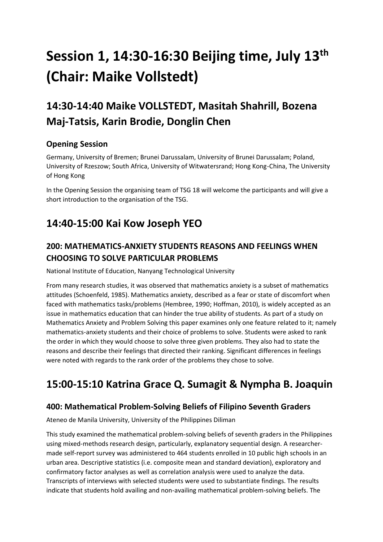# <span id="page-4-0"></span>**Session 1, 14:30-16:30 Beijing time, July 13th (Chair: Maike Vollstedt)**

# <span id="page-4-1"></span>**14:30-14:40 Maike VOLLSTEDT, Masitah Shahrill, Bozena Maj-Tatsis, Karin Brodie, Donglin Chen**

#### <span id="page-4-2"></span>**Opening Session**

Germany, University of Bremen; Brunei Darussalam, University of Brunei Darussalam; Poland, University of Rzeszow; South Africa, University of Witwatersrand; Hong Kong-China, The University of Hong Kong

In the Opening Session the organising team of TSG 18 will welcome the participants and will give a short introduction to the organisation of the TSG.

## <span id="page-4-3"></span>**14:40-15:00 Kai Kow Joseph YEO**

#### <span id="page-4-4"></span>**200: MATHEMATICS-ANXIETY STUDENTS REASONS AND FEELINGS WHEN CHOOSING TO SOLVE PARTICULAR PROBLEMS**

National Institute of Education, Nanyang Technological University

From many research studies, it was observed that mathematics anxiety is a subset of mathematics attitudes (Schoenfeld, 1985). Mathematics anxiety, described as a fear or state of discomfort when faced with mathematics tasks/problems (Hembree, 1990; Hoffman, 2010), is widely accepted as an issue in mathematics education that can hinder the true ability of students. As part of a study on Mathematics Anxiety and Problem Solving this paper examines only one feature related to it; namely mathematics-anxiety students and their choice of problems to solve. Students were asked to rank the order in which they would choose to solve three given problems. They also had to state the reasons and describe their feelings that directed their ranking. Significant differences in feelings were noted with regards to the rank order of the problems they chose to solve.

# <span id="page-4-5"></span>**15:00-15:10 Katrina Grace Q. Sumagit & Nympha B. Joaquin**

#### <span id="page-4-6"></span>**400: Mathematical Problem-Solving Beliefs of Filipino Seventh Graders**

Ateneo de Manila University, University of the Philippines Diliman

This study examined the mathematical problem-solving beliefs of seventh graders in the Philippines using mixed-methods research design, particularly, explanatory sequential design. A researchermade self-report survey was administered to 464 students enrolled in 10 public high schools in an urban area. Descriptive statistics (i.e. composite mean and standard deviation), exploratory and confirmatory factor analyses as well as correlation analysis were used to analyze the data. Transcripts of interviews with selected students were used to substantiate findings. The results indicate that students hold availing and non-availing mathematical problem-solving beliefs. The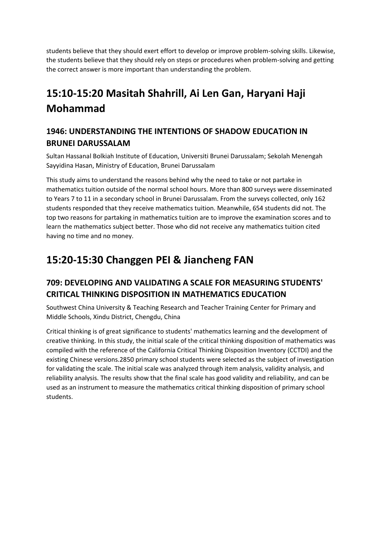students believe that they should exert effort to develop or improve problem-solving skills. Likewise, the students believe that they should rely on steps or procedures when problem-solving and getting the correct answer is more important than understanding the problem.

# <span id="page-5-0"></span>**15:10-15:20 Masitah Shahrill, Ai Len Gan, Haryani Haji Mohammad**

#### <span id="page-5-1"></span>**1946: UNDERSTANDING THE INTENTIONS OF SHADOW EDUCATION IN BRUNEI DARUSSALAM**

Sultan Hassanal Bolkiah Institute of Education, Universiti Brunei Darussalam; Sekolah Menengah Sayyidina Hasan, Ministry of Education, Brunei Darussalam

This study aims to understand the reasons behind why the need to take or not partake in mathematics tuition outside of the normal school hours. More than 800 surveys were disseminated to Years 7 to 11 in a secondary school in Brunei Darussalam. From the surveys collected, only 162 students responded that they receive mathematics tuition. Meanwhile, 654 students did not. The top two reasons for partaking in mathematics tuition are to improve the examination scores and to learn the mathematics subject better. Those who did not receive any mathematics tuition cited having no time and no money.

## <span id="page-5-2"></span>**15:20-15:30 Changgen PEI & Jiancheng FAN**

#### <span id="page-5-3"></span>**709: DEVELOPING AND VALIDATING A SCALE FOR MEASURING STUDENTS' CRITICAL THINKING DISPOSITION IN MATHEMATICS EDUCATION**

Southwest China University & Teaching Research and Teacher Training Center for Primary and Middle Schools, Xindu District, Chengdu, China

Critical thinking is of great significance to students' mathematics learning and the development of creative thinking. In this study, the initial scale of the critical thinking disposition of mathematics was compiled with the reference of the California Critical Thinking Disposition Inventory (CCTDI) and the existing Chinese versions.2850 primary school students were selected as the subject of investigation for validating the scale. The initial scale was analyzed through item analysis, validity analysis, and reliability analysis. The results show that the final scale has good validity and reliability, and can be used as an instrument to measure the mathematics critical thinking disposition of primary school students.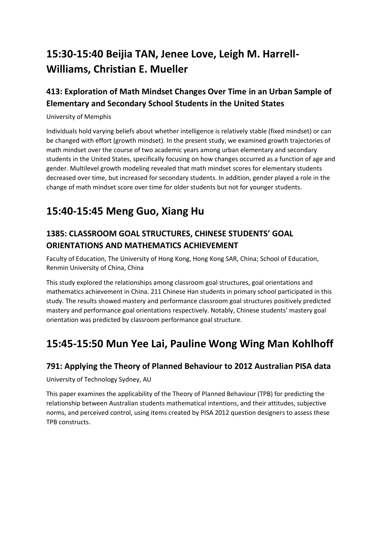# <span id="page-6-0"></span>**15:30-15:40 Beijia TAN, Jenee Love, Leigh M. Harrell-Williams, Christian E. Mueller**

#### <span id="page-6-1"></span>**413: Exploration of Math Mindset Changes Over Time in an Urban Sample of Elementary and Secondary School Students in the United States**

#### University of Memphis

Individuals hold varying beliefs about whether intelligence is relatively stable (fixed mindset) or can be changed with effort (growth mindset). In the present study, we examined growth trajectories of math mindset over the course of two academic years among urban elementary and secondary students in the United States, specifically focusing on how changes occurred as a function of age and gender. Multilevel growth modeling revealed that math mindset scores for elementary students decreased over time, but increased for secondary students. In addition, gender played a role in the change of math mindset score over time for older students but not for younger students.

# <span id="page-6-2"></span>**15:40-15:45 Meng Guo, Xiang Hu**

#### <span id="page-6-3"></span>**1385: CLASSROOM GOAL STRUCTURES, CHINESE STUDENTS' GOAL ORIENTATIONS AND MATHEMATICS ACHIEVEMENT**

Faculty of Education, The University of Hong Kong, Hong Kong SAR, China; School of Education, Renmin University of China, China

This study explored the relationships among classroom goal structures, goal orientations and mathematics achievement in China. 211 Chinese Han students in primary school participated in this study. The results showed mastery and performance classroom goal structures positively predicted mastery and performance goal orientations respectively. Notably, Chinese students' mastery goal orientation was predicted by classroom performance goal structure.

### <span id="page-6-4"></span>**15:45-15:50 Mun Yee Lai, Pauline Wong Wing Man Kohlhoff**

#### <span id="page-6-5"></span>**791: Applying the Theory of Planned Behaviour to 2012 Australian PISA data**

University of Technology Sydney, AU

This paper examines the applicability of the Theory of Planned Behaviour (TPB) for predicting the relationship between Australian students mathematical intentions, and their attitudes, subjective norms, and perceived control, using items created by PISA 2012 question designers to assess these TPB constructs.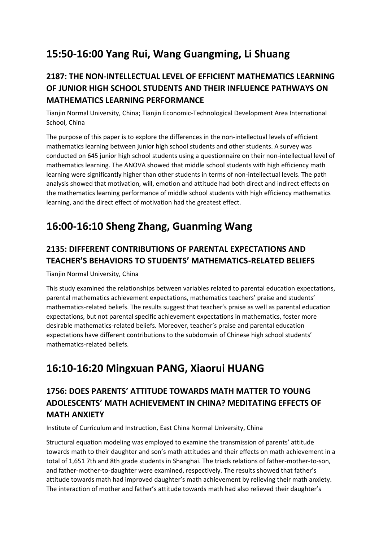# <span id="page-7-0"></span>**15:50-16:00 Yang Rui, Wang Guangming, Li Shuang**

#### <span id="page-7-1"></span>**2187: THE NON-INTELLECTUAL LEVEL OF EFFICIENT MATHEMATICS LEARNING OF JUNIOR HIGH SCHOOL STUDENTS AND THEIR INFLUENCE PATHWAYS ON MATHEMATICS LEARNING PERFORMANCE**

Tianjin Normal University, China; Tianjin Economic-Technological Development Area International School, China

The purpose of this paper is to explore the differences in the non-intellectual levels of efficient mathematics learning between junior high school students and other students. A survey was conducted on 645 junior high school students using a questionnaire on their non-intellectual level of mathematics learning. The ANOVA showed that middle school students with high efficiency math learning were significantly higher than other students in terms of non-intellectual levels. The path analysis showed that motivation, will, emotion and attitude had both direct and indirect effects on the mathematics learning performance of middle school students with high efficiency mathematics learning, and the direct effect of motivation had the greatest effect.

## <span id="page-7-2"></span>**16:00-16:10 Sheng Zhang, Guanming Wang**

#### <span id="page-7-3"></span>**2135: DIFFERENT CONTRIBUTIONS OF PARENTAL EXPECTATIONS AND TEACHER'S BEHAVIORS TO STUDENTS' MATHEMATICS-RELATED BELIEFS**

Tianjin Normal University, China

This study examined the relationships between variables related to parental education expectations, parental mathematics achievement expectations, mathematics teachers' praise and students' mathematics-related beliefs. The results suggest that teacher's praise as well as parental education expectations, but not parental specific achievement expectations in mathematics, foster more desirable mathematics-related beliefs. Moreover, teacher's praise and parental education expectations have different contributions to the subdomain of Chinese high school students' mathematics-related beliefs.

### <span id="page-7-4"></span>**16:10-16:20 Mingxuan PANG, Xiaorui HUANG**

#### <span id="page-7-5"></span>**1756: DOES PARENTS' ATTITUDE TOWARDS MATH MATTER TO YOUNG ADOLESCENTS' MATH ACHIEVEMENT IN CHINA? MEDITATING EFFECTS OF MATH ANXIETY**

Institute of Curriculum and Instruction, East China Normal University, China

Structural equation modeling was employed to examine the transmission of parents' attitude towards math to their daughter and son's math attitudes and their effects on math achievement in a total of 1,651 7th and 8th grade students in Shanghai. The triads relations of father-mother-to-son, and father-mother-to-daughter were examined, respectively. The results showed that father's attitude towards math had improved daughter's math achievement by relieving their math anxiety. The interaction of mother and father's attitude towards math had also relieved their daughter's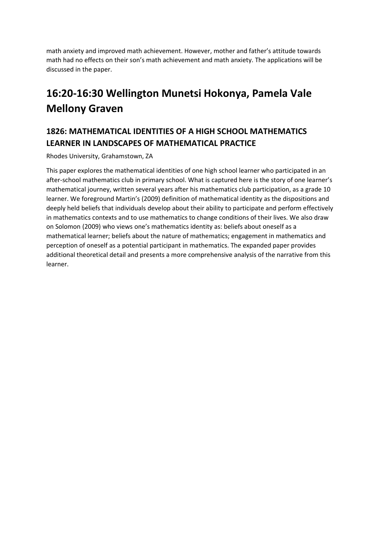math anxiety and improved math achievement. However, mother and father's attitude towards math had no effects on their son's math achievement and math anxiety. The applications will be discussed in the paper.

# <span id="page-8-0"></span>**16:20-16:30 Wellington Munetsi Hokonya, Pamela Vale Mellony Graven**

#### <span id="page-8-1"></span>**1826: MATHEMATICAL IDENTITIES OF A HIGH SCHOOL MATHEMATICS LEARNER IN LANDSCAPES OF MATHEMATICAL PRACTICE**

Rhodes University, Grahamstown, ZA

This paper explores the mathematical identities of one high school learner who participated in an after-school mathematics club in primary school. What is captured here is the story of one learner's mathematical journey, written several years after his mathematics club participation, as a grade 10 learner. We foreground Martin's (2009) definition of mathematical identity as the dispositions and deeply held beliefs that individuals develop about their ability to participate and perform effectively in mathematics contexts and to use mathematics to change conditions of their lives. We also draw on Solomon (2009) who views one's mathematics identity as: beliefs about oneself as a mathematical learner; beliefs about the nature of mathematics; engagement in mathematics and perception of oneself as a potential participant in mathematics. The expanded paper provides additional theoretical detail and presents a more comprehensive analysis of the narrative from this learner.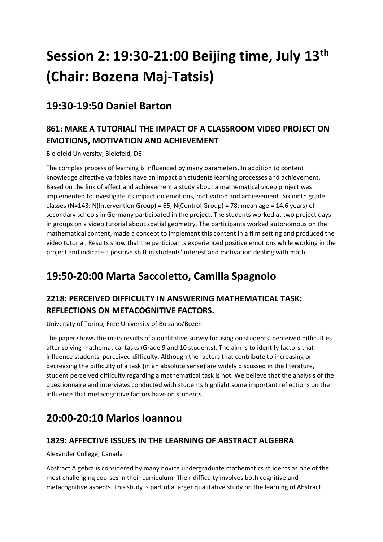# <span id="page-9-0"></span>**Session 2: 19:30-21:00 Beijing time, July 13th (Chair: Bozena Maj-Tatsis)**

### <span id="page-9-1"></span>**19:30-19:50 Daniel Barton**

#### <span id="page-9-2"></span>**861: MAKE A TUTORIAL! THE IMPACT OF A CLASSROOM VIDEO PROJECT ON EMOTIONS, MOTIVATION AND ACHIEVEMENT**

Bielefeld University, Bielefeld, DE

The complex process of learning is influenced by many parameters. In addition to content knowledge affective variables have an impact on students learning processes and achievement. Based on the link of affect and achievement a study about a mathematical video project was implemented to investigate its impact on emotions, motivation and achievement. Six ninth grade classes (N=143; N(Intervention Group) = 65, N(Control Group) = 78; mean age = 14.6 years) of secondary schools in Germany participated in the project. The students worked at two project days in groups on a video tutorial about spatial geometry. The participants worked autonomous on the mathematical content, made a concept to implement this content in a film setting and produced the video tutorial. Results show that the participants experienced positive emotions while working in the project and indicate a positive shift in students' interest and motivation dealing with math.

# <span id="page-9-3"></span>**19:50-20:00 Marta Saccoletto, Camilla Spagnolo**

#### <span id="page-9-4"></span>**2218: PERCEIVED DIFFICULTY IN ANSWERING MATHEMATICAL TASK: REFLECTIONS ON METACOGNITIVE FACTORS.**

University of Torino, Free University of Bolzano/Bozen

The paper shows the main results of a qualitative survey focusing on students' perceived difficulties after solving mathematical tasks (Grade 9 and 10 students). The aim is to identify factors that influence students' perceived difficulty. Although the factors that contribute to increasing or decreasing the difficulty of a task (in an absolute sense) are widely discussed in the literature, student perceived difficulty regarding a mathematical task is not. We believe that the analysis of the questionnaire and interviews conducted with students highlight some important reflections on the influence that metacognitive factors have on students.

# <span id="page-9-5"></span>**20:00-20:10 Marios Ioannou**

#### <span id="page-9-6"></span>**1829: AFFECTIVE ISSUES IN THE LEARNING OF ABSTRACT ALGEBRA**

Alexander College, Canada

Abstract Algebra is considered by many novice undergraduate mathematics students as one of the most challenging courses in their curriculum. Their difficulty involves both cognitive and metacognitive aspects. This study is part of a larger qualitative study on the learning of Abstract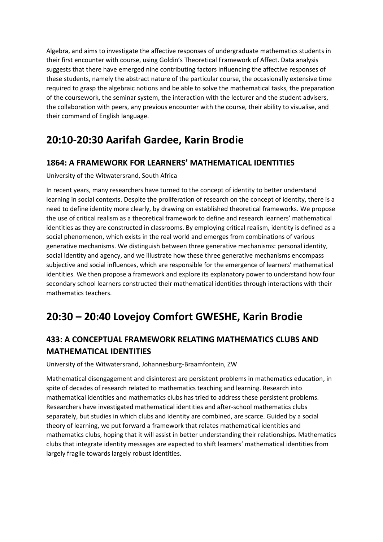Algebra, and aims to investigate the affective responses of undergraduate mathematics students in their first encounter with course, using Goldin's Theoretical Framework of Affect. Data analysis suggests that there have emerged nine contributing factors influencing the affective responses of these students, namely the abstract nature of the particular course, the occasionally extensive time required to grasp the algebraic notions and be able to solve the mathematical tasks, the preparation of the coursework, the seminar system, the interaction with the lecturer and the student advisers, the collaboration with peers, any previous encounter with the course, their ability to visualise, and their command of English language.

## <span id="page-10-0"></span>**20:10-20:30 Aarifah Gardee, Karin Brodie**

#### <span id="page-10-1"></span>**1864: A FRAMEWORK FOR LEARNERS' MATHEMATICAL IDENTITIES**

University of the Witwatersrand, South Africa

In recent years, many researchers have turned to the concept of identity to better understand learning in social contexts. Despite the proliferation of research on the concept of identity, there is a need to define identity more clearly, by drawing on established theoretical frameworks. We propose the use of critical realism as a theoretical framework to define and research learners' mathematical identities as they are constructed in classrooms. By employing critical realism, identity is defined as a social phenomenon, which exists in the real world and emerges from combinations of various generative mechanisms. We distinguish between three generative mechanisms: personal identity, social identity and agency, and we illustrate how these three generative mechanisms encompass subjective and social influences, which are responsible for the emergence of learners' mathematical identities. We then propose a framework and explore its explanatory power to understand how four secondary school learners constructed their mathematical identities through interactions with their mathematics teachers.

# <span id="page-10-2"></span>**20:30 – 20:40 Lovejoy Comfort GWESHE, Karin Brodie**

#### <span id="page-10-3"></span>**433: A CONCEPTUAL FRAMEWORK RELATING MATHEMATICS CLUBS AND MATHEMATICAL IDENTITIES**

University of the Witwatersrand, Johannesburg-Braamfontein, ZW

Mathematical disengagement and disinterest are persistent problems in mathematics education, in spite of decades of research related to mathematics teaching and learning. Research into mathematical identities and mathematics clubs has tried to address these persistent problems. Researchers have investigated mathematical identities and after-school mathematics clubs separately, but studies in which clubs and identity are combined, are scarce. Guided by a social theory of learning, we put forward a framework that relates mathematical identities and mathematics clubs, hoping that it will assist in better understanding their relationships. Mathematics clubs that integrate identity messages are expected to shift learners' mathematical identities from largely fragile towards largely robust identities.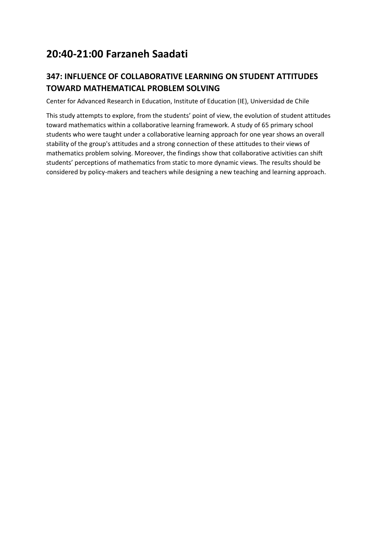# <span id="page-11-0"></span>**20:40-21:00 Farzaneh Saadati**

#### <span id="page-11-1"></span>**347: INFLUENCE OF COLLABORATIVE LEARNING ON STUDENT ATTITUDES TOWARD MATHEMATICAL PROBLEM SOLVING**

Center for Advanced Research in Education, Institute of Education (IE), Universidad de Chile

This study attempts to explore, from the students' point of view, the evolution of student attitudes toward mathematics within a collaborative learning framework. A study of 65 primary school students who were taught under a collaborative learning approach for one year shows an overall stability of the group's attitudes and a strong connection of these attitudes to their views of mathematics problem solving. Moreover, the findings show that collaborative activities can shift students' perceptions of mathematics from static to more dynamic views. The results should be considered by policy-makers and teachers while designing a new teaching and learning approach.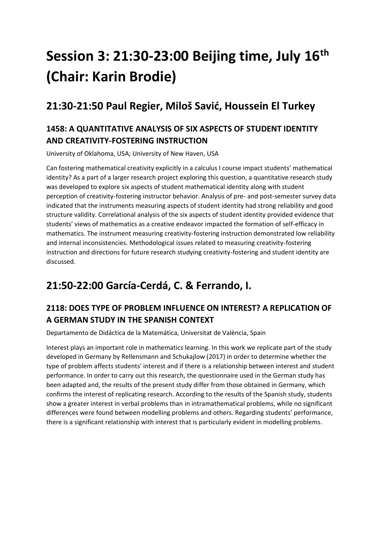# <span id="page-12-0"></span>**Session 3: 21:30-23:00 Beijing time, July 16th (Chair: Karin Brodie)**

### <span id="page-12-1"></span>**21:30-21:50 Paul Regier, Miloš Savić, Houssein El Turkey**

#### <span id="page-12-2"></span>**1458: A QUANTITATIVE ANALYSIS OF SIX ASPECTS OF STUDENT IDENTITY AND CREATIVITY-FOSTERING INSTRUCTION**

University of Oklahoma, USA; University of New Haven, USA

Can fostering mathematical creativity explicitly in a calculus I course impact students' mathematical identity? As a part of a larger research project exploring this question, a quantitative research study was developed to explore six aspects of student mathematical identity along with student perception of creativity-fostering instructor behavior. Analysis of pre- and post-semester survey data indicated that the instruments measuring aspects of student identity had strong reliability and good structure validity. Correlational analysis of the six aspects of student identity provided evidence that students' views of mathematics as a creative endeavor impacted the formation of self-efficacy in mathematics. The instrument measuring creativity-fostering instruction demonstrated low reliability and internal inconsistencies. Methodological issues related to measuring creativity-fostering instruction and directions for future research studying creativity-fostering and student identity are discussed.

### <span id="page-12-3"></span>**21:50-22:00 García-Cerdá, C. & Ferrando, I.**

#### <span id="page-12-4"></span>**2118: DOES TYPE OF PROBLEM INFLUENCE ON INTEREST? A REPLICATION OF A GERMAN STUDY IN THE SPANISH CONTEXT**

Departamento de Didáctica de la Matemática, Universitat de València, Spain

Interest plays an important role in mathematics learning. In this work we replicate part of the study developed in Germany by Rellensmann and Schukajlow (2017) in order to determine whether the type of problem affects students' interest and if there is a relationship between interest and student performance. In order to carry out this research, the questionnaire used in the German study has been adapted and, the results of the present study differ from those obtained in Germany, which confirms the interest of replicating research. According to the results of the Spanish study, students show a greater interest in verbal problems than in intramathematical problems, while no significant differences were found between modelling problems and others. Regarding students' performance, there is a significant relationship with interest that is particularly evident in modelling problems.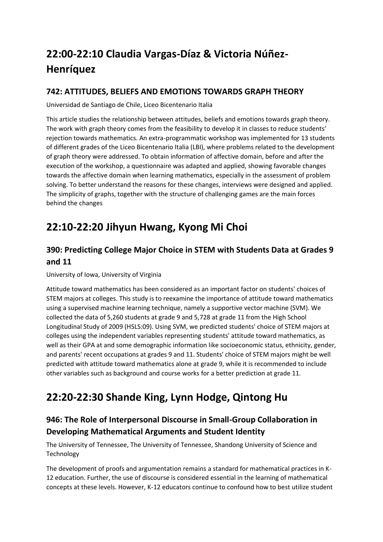# <span id="page-13-0"></span>**22:00-22:10 Claudia Vargas-Díaz & Victoria Núñez-Henríquez**

#### <span id="page-13-1"></span>**742: ATTITUDES, BELIEFS AND EMOTIONS TOWARDS GRAPH THEORY**

Universidad de Santiago de Chile, Liceo Bicentenario Italia

This article studies the relationship between attitudes, beliefs and emotions towards graph theory. The work with graph theory comes from the feasibility to develop it in classes to reduce students' rejection towards mathematics. An extra-programmatic workshop was implemented for 13 students of different grades of the Liceo Bicentenario Italia (LBI), where problems related to the development of graph theory were addressed. To obtain information of affective domain, before and after the execution of the workshop, a questionnaire was adapted and applied, showing favorable changes towards the affective domain when learning mathematics, especially in the assessment of problem solving. To better understand the reasons for these changes, interviews were designed and applied. The simplicity of graphs, together with the structure of challenging games are the main forces behind the changes

# <span id="page-13-2"></span>**22:10-22:20 Jihyun Hwang, Kyong Mi Choi**

#### <span id="page-13-3"></span>**390: Predicting College Major Choice in STEM with Students Data at Grades 9 and 11**

University of Iowa, University of Virginia

Attitude toward mathematics has been considered as an important factor on students' choices of STEM majors at colleges. This study is to reexamine the importance of attitude toward mathematics using a supervised machine learning technique, namely a supportive vector machine (SVM). We collected the data of 5,260 students at grade 9 and 5,728 at grade 11 from the High School Longitudinal Study of 2009 (HSLS:09). Using SVM, we predicted students' choice of STEM majors at colleges using the independent variables representing students' attitude toward mathematics, as well as their GPA at and some demographic information like socioeconomic status, ethnicity, gender, and parents' recent occupations at grades 9 and 11. Students' choice of STEM majors might be well predicted with attitude toward mathematics alone at grade 9, while it is recommended to include other variables such as background and course works for a better prediction at grade 11.

# <span id="page-13-4"></span>**22:20-22:30 Shande King, Lynn Hodge, Qintong Hu**

#### <span id="page-13-5"></span>**946: The Role of Interpersonal Discourse in Small-Group Collaboration in Developing Mathematical Arguments and Student Identity**

The University of Tennessee, The University of Tennessee, Shandong University of Science and Technology

The development of proofs and argumentation remains a standard for mathematical practices in K-12 education. Further, the use of discourse is considered essential in the learning of mathematical concepts at these levels. However, K-12 educators continue to confound how to best utilize student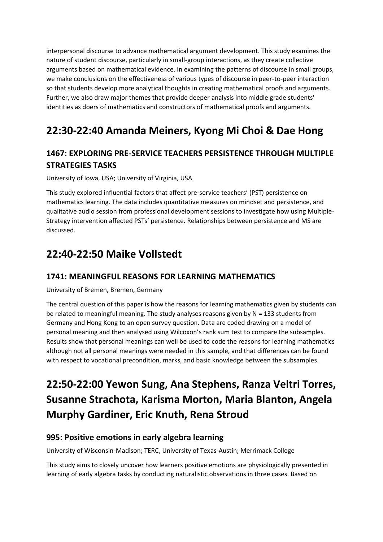interpersonal discourse to advance mathematical argument development. This study examines the nature of student discourse, particularly in small-group interactions, as they create collective arguments based on mathematical evidence. In examining the patterns of discourse in small groups, we make conclusions on the effectiveness of various types of discourse in peer-to-peer interaction so that students develop more analytical thoughts in creating mathematical proofs and arguments. Further, we also draw major themes that provide deeper analysis into middle grade students' identities as doers of mathematics and constructors of mathematical proofs and arguments.

## <span id="page-14-0"></span>**22:30-22:40 Amanda Meiners, Kyong Mi Choi & Dae Hong**

#### <span id="page-14-1"></span>**1467: EXPLORING PRE-SERVICE TEACHERS PERSISTENCE THROUGH MULTIPLE STRATEGIES TASKS**

University of Iowa, USA; University of Virginia, USA

This study explored influential factors that affect pre-service teachers' (PST) persistence on mathematics learning. The data includes quantitative measures on mindset and persistence, and qualitative audio session from professional development sessions to investigate how using Multiple-Strategy intervention affected PSTs' persistence. Relationships between persistence and MS are discussed.

### <span id="page-14-2"></span>**22:40-22:50 Maike Vollstedt**

#### <span id="page-14-3"></span>**1741: MEANINGFUL REASONS FOR LEARNING MATHEMATICS**

University of Bremen, Bremen, Germany

The central question of this paper is how the reasons for learning mathematics given by students can be related to meaningful meaning. The study analyses reasons given by N = 133 students from Germany and Hong Kong to an open survey question. Data are coded drawing on a model of personal meaning and then analysed using Wilcoxon's rank sum test to compare the subsamples. Results show that personal meanings can well be used to code the reasons for learning mathematics although not all personal meanings were needed in this sample, and that differences can be found with respect to vocational precondition, marks, and basic knowledge between the subsamples.

# <span id="page-14-4"></span>**22:50-22:00 Yewon Sung, Ana Stephens, Ranza Veltri Torres, Susanne Strachota, Karisma Morton, Maria Blanton, Angela Murphy Gardiner, Eric Knuth, Rena Stroud**

#### <span id="page-14-5"></span>**995: Positive emotions in early algebra learning**

University of Wisconsin-Madison; TERC, University of Texas-Austin; Merrimack College

This study aims to closely uncover how learners positive emotions are physiologically presented in learning of early algebra tasks by conducting naturalistic observations in three cases. Based on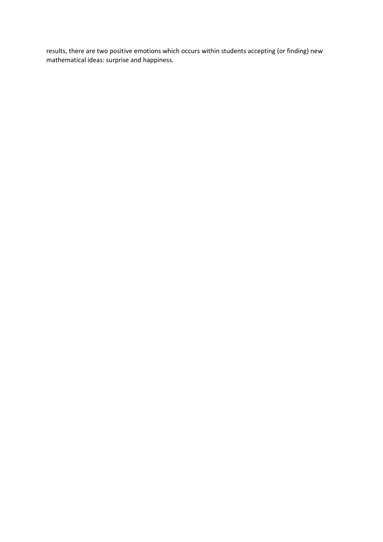results, there are two positive emotions which occurs within students accepting (or finding) new mathematical ideas: surprise and happiness.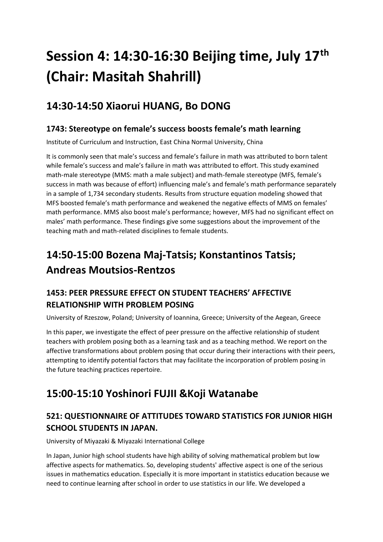# <span id="page-16-0"></span>**Session 4: 14:30-16:30 Beijing time, July 17th (Chair: Masitah Shahrill)**

# <span id="page-16-1"></span>**14:30-14:50 Xiaorui HUANG, Bo DONG**

#### <span id="page-16-2"></span>**1743: Stereotype on female's success boosts female's math learning**

Institute of Curriculum and Instruction, East China Normal University, China

It is commonly seen that male's success and female's failure in math was attributed to born talent while female's success and male's failure in math was attributed to effort. This study examined math-male stereotype (MMS: math a male subject) and math-female stereotype (MFS, female's success in math was because of effort) influencing male's and female's math performance separately in a sample of 1,734 secondary students. Results from structure equation modeling showed that MFS boosted female's math performance and weakened the negative effects of MMS on females' math performance. MMS also boost male's performance; however, MFS had no significant effect on males' math performance. These findings give some suggestions about the improvement of the teaching math and math-related disciplines to female students.

# <span id="page-16-3"></span>**14:50-15:00 Bozena Maj-Tatsis; Konstantinos Tatsis; Andreas Moutsios-Rentzos**

#### <span id="page-16-4"></span>**1453: PEER PRESSURE EFFECT ON STUDENT TEACHERS' AFFECTIVE RELATIONSHIP WITH PROBLEM POSING**

University of Rzeszow, Poland; University of Ioannina, Greece; University of the Aegean, Greece

In this paper, we investigate the effect of peer pressure on the affective relationship of student teachers with problem posing both as a learning task and as a teaching method. We report on the affective transformations about problem posing that occur during their interactions with their peers, attempting to identify potential factors that may facilitate the incorporation of problem posing in the future teaching practices repertoire.

# <span id="page-16-5"></span>**15:00-15:10 Yoshinori FUJII &Koji Watanabe**

#### <span id="page-16-6"></span>**521: QUESTIONNAIRE OF ATTITUDES TOWARD STATISTICS FOR JUNIOR HIGH SCHOOL STUDENTS IN JAPAN.**

University of Miyazaki & Miyazaki International College

In Japan, Junior high school students have high ability of solving mathematical problem but low affective aspects for mathematics. So, developing students' affective aspect is one of the serious issues in mathematics education. Especially it is more important in statistics education because we need to continue learning after school in order to use statistics in our life. We developed a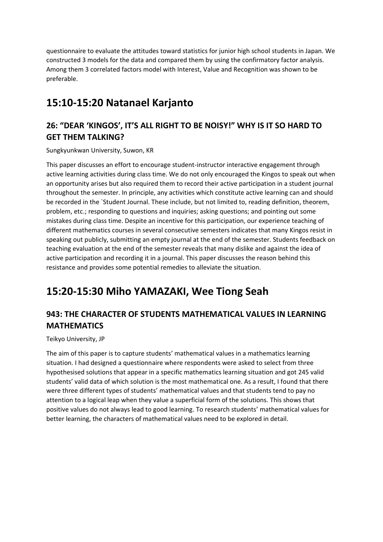questionnaire to evaluate the attitudes toward statistics for junior high school students in Japan. We constructed 3 models for the data and compared them by using the confirmatory factor analysis. Among them 3 correlated factors model with Interest, Value and Recognition was shown to be preferable.

### <span id="page-17-0"></span>**15:10-15:20 Natanael Karjanto**

#### <span id="page-17-1"></span>**26: "DEAR 'KINGOS', IT'S ALL RIGHT TO BE NOISY!" WHY IS IT SO HARD TO GET THEM TALKING?**

Sungkyunkwan University, Suwon, KR

This paper discusses an effort to encourage student-instructor interactive engagement through active learning activities during class time. We do not only encouraged the Kingos to speak out when an opportunity arises but also required them to record their active participation in a student journal throughout the semester. In principle, any activities which constitute active learning can and should be recorded in the `Student Journal. These include, but not limited to, reading definition, theorem, problem, etc.; responding to questions and inquiries; asking questions; and pointing out some mistakes during class time. Despite an incentive for this participation, our experience teaching of different mathematics courses in several consecutive semesters indicates that many Kingos resist in speaking out publicly, submitting an empty journal at the end of the semester. Students feedback on teaching evaluation at the end of the semester reveals that many dislike and against the idea of active participation and recording it in a journal. This paper discusses the reason behind this resistance and provides some potential remedies to alleviate the situation.

### <span id="page-17-2"></span>**15:20-15:30 Miho YAMAZAKI, Wee Tiong Seah**

#### <span id="page-17-3"></span>**943: THE CHARACTER OF STUDENTS MATHEMATICAL VALUES IN LEARNING MATHEMATICS**

Teikyo University, JP

The aim of this paper is to capture students' mathematical values in a mathematics learning situation. I had designed a questionnaire where respondents were asked to select from three hypothesised solutions that appear in a specific mathematics learning situation and got 245 valid students' valid data of which solution is the most mathematical one. As a result, I found that there were three different types of students' mathematical values and that students tend to pay no attention to a logical leap when they value a superficial form of the solutions. This shows that positive values do not always lead to good learning. To research students' mathematical values for better learning, the characters of mathematical values need to be explored in detail.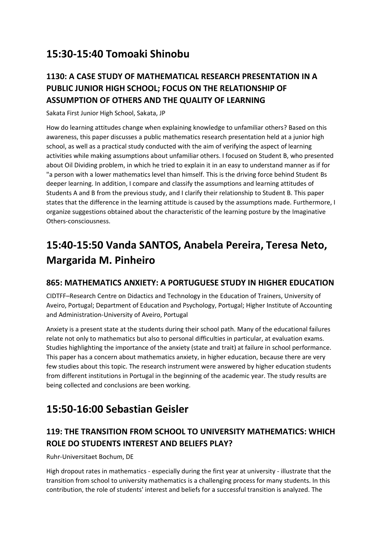# <span id="page-18-0"></span>**15:30-15:40 Tomoaki Shinobu**

#### <span id="page-18-1"></span>**1130: A CASE STUDY OF MATHEMATICAL RESEARCH PRESENTATION IN A PUBLIC JUNIOR HIGH SCHOOL; FOCUS ON THE RELATIONSHIP OF ASSUMPTION OF OTHERS AND THE QUALITY OF LEARNING**

Sakata First Junior High School, Sakata, JP

How do learning attitudes change when explaining knowledge to unfamiliar others? Based on this awareness, this paper discusses a public mathematics research presentation held at a junior high school, as well as a practical study conducted with the aim of verifying the aspect of learning activities while making assumptions about unfamiliar others. I focused on Student B, who presented about Oil Dividing problem, in which he tried to explain it in an easy to understand manner as if for "a person with a lower mathematics level than himself. This is the driving force behind Student Bs deeper learning. In addition, I compare and classify the assumptions and learning attitudes of Students A and B from the previous study, and I clarify their relationship to Student B. This paper states that the difference in the learning attitude is caused by the assumptions made. Furthermore, I organize suggestions obtained about the characteristic of the learning posture by the Imaginative Others-consciousness.

# <span id="page-18-2"></span>**15:40-15:50 Vanda SANTOS, Anabela Pereira, Teresa Neto, Margarida M. Pinheiro**

#### <span id="page-18-3"></span>**865: MATHEMATICS ANXIETY: A PORTUGUESE STUDY IN HIGHER EDUCATION**

CIDTFF–Research Centre on Didactics and Technology in the Education of Trainers, University of Aveiro, Portugal; Department of Education and Psychology, Portugal; Higher Institute of Accounting and Administration-University of Aveiro, Portugal

Anxiety is a present state at the students during their school path. Many of the educational failures relate not only to mathematics but also to personal difficulties in particular, at evaluation exams. Studies highlighting the importance of the anxiety (state and trait) at failure in school performance. This paper has a concern about mathematics anxiety, in higher education, because there are very few studies about this topic. The research instrument were answered by higher education students from different institutions in Portugal in the beginning of the academic year. The study results are being collected and conclusions are been working.

# <span id="page-18-4"></span>**15:50-16:00 Sebastian Geisler**

#### <span id="page-18-5"></span>**119: THE TRANSITION FROM SCHOOL TO UNIVERSITY MATHEMATICS: WHICH ROLE DO STUDENTS INTEREST AND BELIEFS PLAY?**

Ruhr-Universitaet Bochum, DE

High dropout rates in mathematics - especially during the first year at university - illustrate that the transition from school to university mathematics is a challenging process for many students. In this contribution, the role of students' interest and beliefs for a successful transition is analyzed. The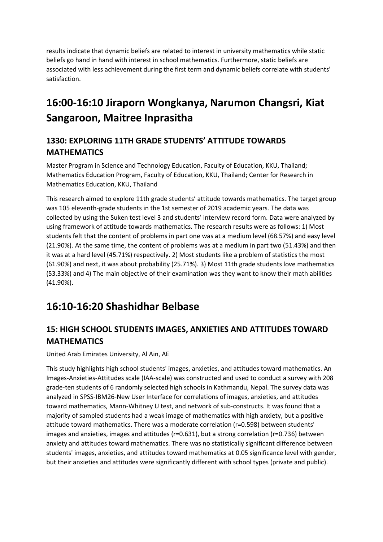results indicate that dynamic beliefs are related to interest in university mathematics while static beliefs go hand in hand with interest in school mathematics. Furthermore, static beliefs are associated with less achievement during the first term and dynamic beliefs correlate with students' satisfaction.

# <span id="page-19-0"></span>**16:00-16:10 Jiraporn Wongkanya, Narumon Changsri, Kiat Sangaroon, Maitree Inprasitha**

#### <span id="page-19-1"></span>**1330: EXPLORING 11TH GRADE STUDENTS' ATTITUDE TOWARDS MATHEMATICS**

Master Program in Science and Technology Education, Faculty of Education, KKU, Thailand; Mathematics Education Program, Faculty of Education, KKU, Thailand; Center for Research in Mathematics Education, KKU, Thailand

This research aimed to explore 11th grade students' attitude towards mathematics. The target group was 105 eleventh-grade students in the 1st semester of 2019 academic years. The data was collected by using the Suken test level 3 and students' interview record form. Data were analyzed by using framework of attitude towards mathematics. The research results were as follows: 1) Most students felt that the content of problems in part one was at a medium level (68.57%) and easy level (21.90%). At the same time, the content of problems was at a medium in part two (51.43%) and then it was at a hard level (45.71%) respectively. 2) Most students like a problem of statistics the most (61.90%) and next, it was about probability (25.71%). 3) Most 11th grade students love mathematics (53.33%) and 4) The main objective of their examination was they want to know their math abilities (41.90%).

### <span id="page-19-2"></span>**16:10-16:20 Shashidhar Belbase**

#### <span id="page-19-3"></span>**15: HIGH SCHOOL STUDENTS IMAGES, ANXIETIES AND ATTITUDES TOWARD MATHEMATICS**

United Arab Emirates University, Al Ain, AE

This study highlights high school students' images, anxieties, and attitudes toward mathematics. An Images-Anxieties-Attitudes scale (IAA-scale) was constructed and used to conduct a survey with 208 grade-ten students of 6 randomly selected high schools in Kathmandu, Nepal. The survey data was analyzed in SPSS-IBM26-New User Interface for correlations of images, anxieties, and attitudes toward mathematics, Mann-Whitney U test, and network of sub-constructs. It was found that a majority of sampled students had a weak image of mathematics with high anxiety, but a positive attitude toward mathematics. There was a moderate correlation (r=0.598) between students' images and anxieties, images and attitudes (r=0.631), but a strong correlation (r=0.736) between anxiety and attitudes toward mathematics. There was no statistically significant difference between students' images, anxieties, and attitudes toward mathematics at 0.05 significance level with gender, but their anxieties and attitudes were significantly different with school types (private and public).